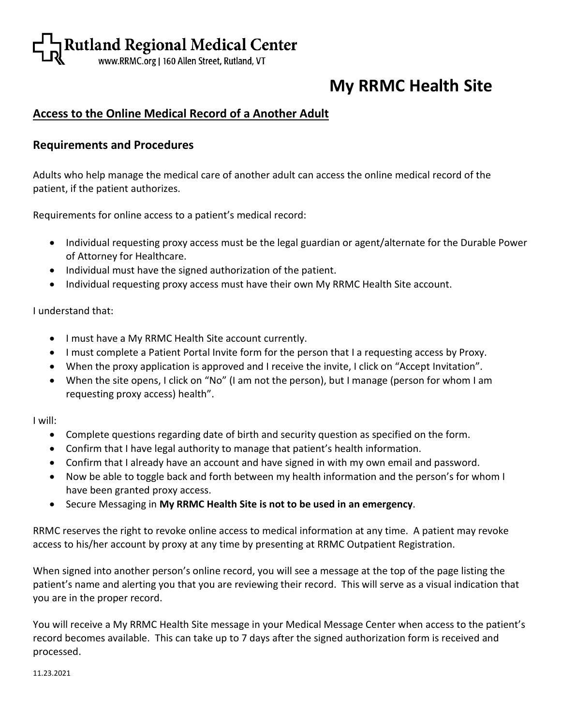# Rutland Regional Medical Center

# **My RRMC Health Site**

## **Access to the Online Medical Record of a Another Adult**

#### **Requirements and Procedures**

Adults who help manage the medical care of another adult can access the online medical record of the patient, if the patient authorizes.

Requirements for online access to a patient's medical record:

- Individual requesting proxy access must be the legal guardian or agent/alternate for the Durable Power of Attorney for Healthcare.
- Individual must have the signed authorization of the patient.
- Individual requesting proxy access must have their own My RRMC Health Site account.

I understand that:

- I must have a My RRMC Health Site account currently.
- I must complete a Patient Portal Invite form for the person that I a requesting access by Proxy.
- When the proxy application is approved and I receive the invite, I click on "Accept Invitation".
- When the site opens, I click on "No" (I am not the person), but I manage (person for whom I am requesting proxy access) health".

I will:

- Complete questions regarding date of birth and security question as specified on the form.
- Confirm that I have legal authority to manage that patient's health information.
- Confirm that I already have an account and have signed in with my own email and password.
- Now be able to toggle back and forth between my health information and the person's for whom I have been granted proxy access.
- Secure Messaging in **My RRMC Health Site is not to be used in an emergency**.

RRMC reserves the right to revoke online access to medical information at any time. A patient may revoke access to his/her account by proxy at any time by presenting at RRMC Outpatient Registration.

When signed into another person's online record, you will see a message at the top of the page listing the patient's name and alerting you that you are reviewing their record. This will serve as a visual indication that you are in the proper record.

You will receive a My RRMC Health Site message in your Medical Message Center when access to the patient's record becomes available. This can take up to 7 days after the signed authorization form is received and processed.

11.23.2021